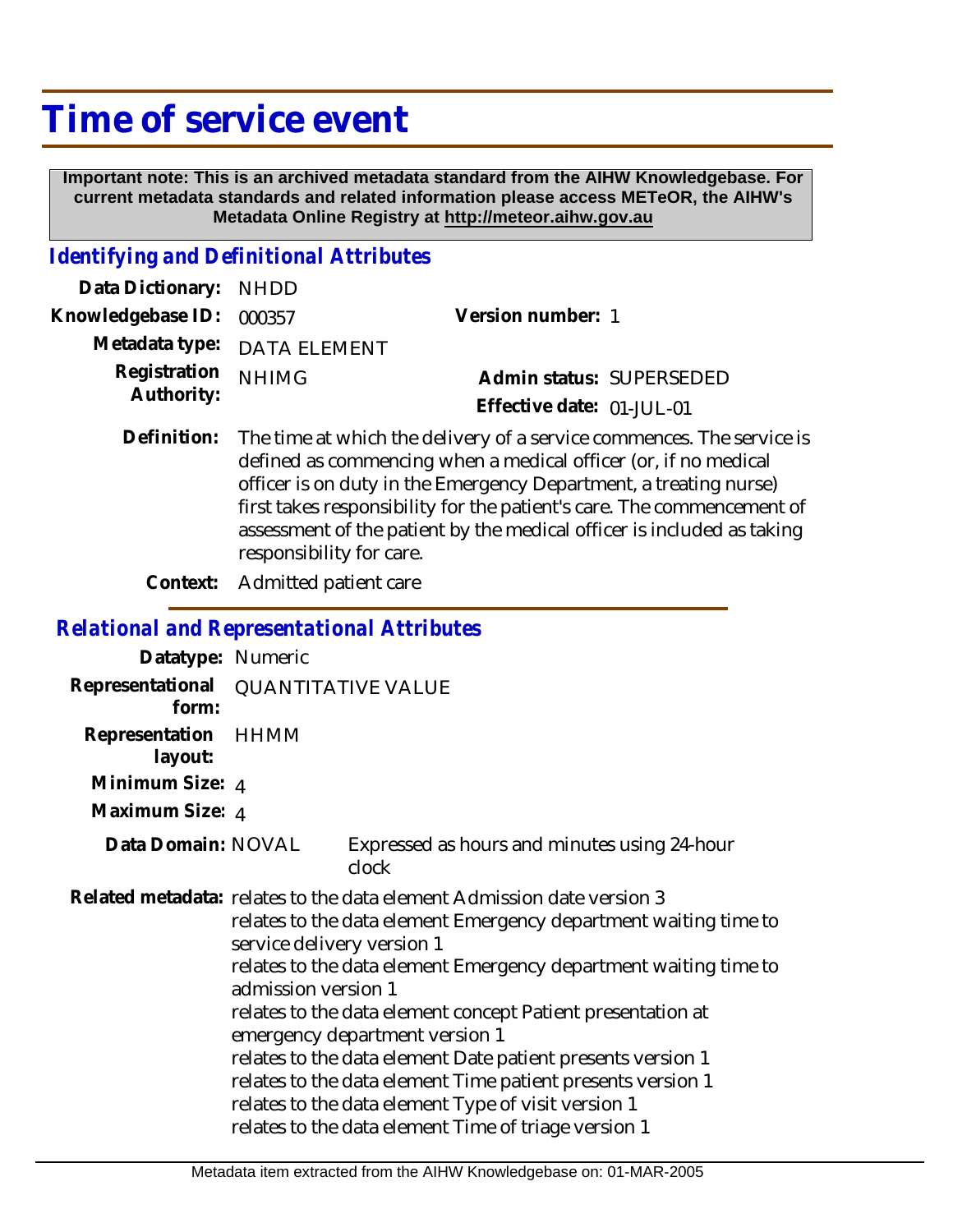## **Time of service event**

 **Important note: This is an archived metadata standard from the AIHW Knowledgebase. For current metadata standards and related information please access METeOR, the AIHW's Metadata Online Registry at http://meteor.aihw.gov.au**

## *Identifying and Definitional Attributes*

| Data Dictionary: NHDD            |                             |                           |                          |
|----------------------------------|-----------------------------|---------------------------|--------------------------|
| Knowledgebase ID: 000357         |                             | Version number: 1         |                          |
|                                  | Metadata type: DATA ELEMENT |                           |                          |
| Registration NHIMG<br>Authority: |                             |                           | Admin status: SUPERSEDED |
|                                  |                             | Effective date: 01-JUL-01 |                          |

Definition: The time at which the delivery of a service commences. The service is defined as commencing when a medical officer (or, if no medical officer is on duty in the Emergency Department, a treating nurse) first takes responsibility for the patient's care. The commencement of assessment of the patient by the medical officer is included as taking responsibility for care.

**Context:** Admitted patient care

## *Relational and Representational Attributes*

| Datatype: Numeric         |                                                                                                                                                                                                                                                                                                                                                                                                                                                                                                                                                                                                                   |                                                       |  |
|---------------------------|-------------------------------------------------------------------------------------------------------------------------------------------------------------------------------------------------------------------------------------------------------------------------------------------------------------------------------------------------------------------------------------------------------------------------------------------------------------------------------------------------------------------------------------------------------------------------------------------------------------------|-------------------------------------------------------|--|
| Representational<br>form: | <b>QUANTITATIVE VALUE</b>                                                                                                                                                                                                                                                                                                                                                                                                                                                                                                                                                                                         |                                                       |  |
| Representation<br>layout: | HHMM                                                                                                                                                                                                                                                                                                                                                                                                                                                                                                                                                                                                              |                                                       |  |
| Minimum Size: 4           |                                                                                                                                                                                                                                                                                                                                                                                                                                                                                                                                                                                                                   |                                                       |  |
| Maximum Size: 4           |                                                                                                                                                                                                                                                                                                                                                                                                                                                                                                                                                                                                                   |                                                       |  |
| Data Domain: NOVAL        |                                                                                                                                                                                                                                                                                                                                                                                                                                                                                                                                                                                                                   | Expressed as hours and minutes using 24-hour<br>clock |  |
|                           | Related metadata: relates to the data element Admission date version 3<br>relates to the data element Emergency department waiting time to<br>service delivery version 1<br>relates to the data element Emergency department waiting time to<br>admission version 1<br>relates to the data element concept Patient presentation at<br>emergency department version 1<br>relates to the data element Date patient presents version 1<br>relates to the data element Time patient presents version 1<br>relates to the data element Type of visit version 1<br>relates to the data element Time of triage version 1 |                                                       |  |